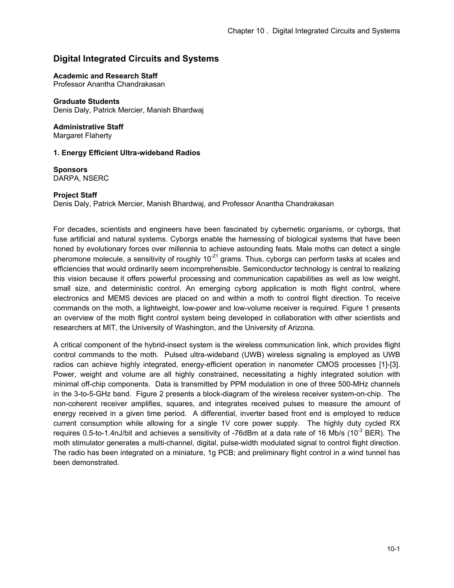# **Digital Integrated Circuits and Systems**

#### **Academic and Research Staff**

Professor Anantha Chandrakasan

**Graduate Students** Denis Daly, Patrick Mercier, Manish Bhardwaj

**Administrative Staff**  Margaret Flaherty

### **1. Energy Efficient Ultra-wideband Radios**

**Sponsors** DARPA, NSERC

### **Project Staff**

Denis Daly, Patrick Mercier, Manish Bhardwaj, and Professor Anantha Chandrakasan

For decades, scientists and engineers have been fascinated by cybernetic organisms, or cyborgs, that fuse artificial and natural systems. Cyborgs enable the harnessing of biological systems that have been honed by evolutionary forces over millennia to achieve astounding feats. Male moths can detect a single pheromone molecule, a sensitivity of roughly  $10^{-21}$  grams. Thus, cyborgs can perform tasks at scales and efficiencies that would ordinarily seem incomprehensible. Semiconductor technology is central to realizing this vision because it offers powerful processing and communication capabilities as well as low weight, small size, and deterministic control. An emerging cyborg application is moth flight control, where electronics and MEMS devices are placed on and within a moth to control flight direction. To receive commands on the moth, a lightweight, low-power and low-volume receiver is required. Figure 1 presents an overview of the moth flight control system being developed in collaboration with other scientists and researchers at MIT, the University of Washington, and the University of Arizona.

A critical component of the hybrid-insect system is the wireless communication link, which provides flight control commands to the moth. Pulsed ultra-wideband (UWB) wireless signaling is employed as UWB radios can achieve highly integrated, energy-efficient operation in nanometer CMOS processes [1]-[3]. Power, weight and volume are all highly constrained, necessitating a highly integrated solution with minimal off-chip components. Data is transmitted by PPM modulation in one of three 500-MHz channels in the 3-to-5-GHz band. Figure 2 presents a block-diagram of the wireless receiver system-on-chip. The non-coherent receiver amplifies, squares, and integrates received pulses to measure the amount of energy received in a given time period. A differential, inverter based front end is employed to reduce current consumption while allowing for a single 1V core power supply. The highly duty cycled RX requires 0.5-to-1.4nJ/bit and achieves a sensitivity of -76dBm at a data rate of 16 Mb/s (10 $3$  BER). The moth stimulator generates a multi-channel, digital, pulse-width modulated signal to control flight direction. The radio has been integrated on a miniature, 1g PCB; and preliminary flight control in a wind tunnel has been demonstrated.